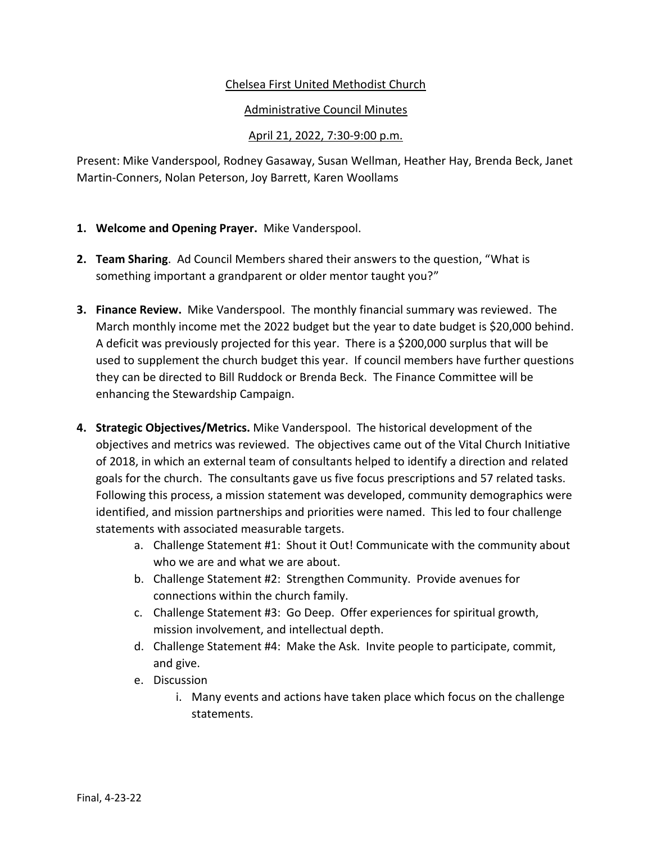## Chelsea First United Methodist Church

## Administrative Council Minutes

## April 21, 2022, 7:30-9:00 p.m.

Present: Mike Vanderspool, Rodney Gasaway, Susan Wellman, Heather Hay, Brenda Beck, Janet Martin-Conners, Nolan Peterson, Joy Barrett, Karen Woollams

- **1. Welcome and Opening Prayer.** Mike Vanderspool.
- **2. Team Sharing**. Ad Council Members shared their answers to the question, "What is something important a grandparent or older mentor taught you?"
- **3. Finance Review.** Mike Vanderspool. The monthly financial summary was reviewed. The March monthly income met the 2022 budget but the year to date budget is \$20,000 behind. A deficit was previously projected for this year. There is a \$200,000 surplus that will be used to supplement the church budget this year. If council members have further questions they can be directed to Bill Ruddock or Brenda Beck. The Finance Committee will be enhancing the Stewardship Campaign.
- **4. Strategic Objectives/Metrics.** Mike Vanderspool. The historical development of the objectives and metrics was reviewed. The objectives came out of the Vital Church Initiative of 2018, in which an external team of consultants helped to identify a direction and related goals for the church. The consultants gave us five focus prescriptions and 57 related tasks. Following this process, a mission statement was developed, community demographics were identified, and mission partnerships and priorities were named. This led to four challenge statements with associated measurable targets.
	- a. Challenge Statement #1: Shout it Out! Communicate with the community about who we are and what we are about.
	- b. Challenge Statement #2: Strengthen Community. Provide avenues for connections within the church family.
	- c. Challenge Statement #3: Go Deep. Offer experiences for spiritual growth, mission involvement, and intellectual depth.
	- d. Challenge Statement #4: Make the Ask. Invite people to participate, commit, and give.
	- e. Discussion
		- i. Many events and actions have taken place which focus on the challenge statements.